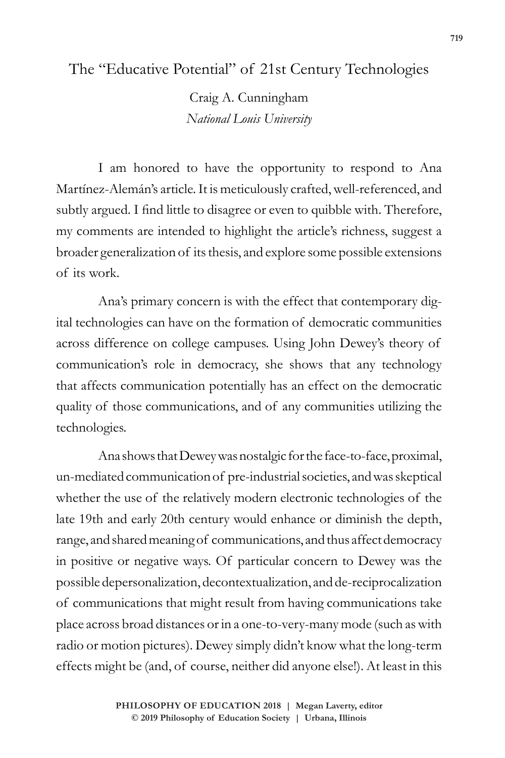The "Educative Potential" of 21st Century Technologies

Craig A. Cunningham *National Louis University*

I am honored to have the opportunity to respond to Ana Martínez-Alemán's article. It is meticulously crafted, well-referenced, and subtly argued. I find little to disagree or even to quibble with. Therefore, my comments are intended to highlight the article's richness, suggest a broader generalization of its thesis, and explore some possible extensions of its work.

Ana's primary concern is with the effect that contemporary digital technologies can have on the formation of democratic communities across difference on college campuses. Using John Dewey's theory of communication's role in democracy, she shows that any technology that affects communication potentially has an effect on the democratic quality of those communications, and of any communities utilizing the technologies.

Ana shows that Dewey was nostalgic for the face-to-face, proximal, un-mediated communication of pre-industrial societies, and was skeptical whether the use of the relatively modern electronic technologies of the late 19th and early 20th century would enhance or diminish the depth, range, and shared meaning of communications, and thus affect democracy in positive or negative ways. Of particular concern to Dewey was the possible depersonalization, decontextualization, and de-reciprocalization of communications that might result from having communications take place across broad distances or in a one-to-very-many mode (such as with radio or motion pictures). Dewey simply didn't know what the long-term effects might be (and, of course, neither did anyone else!). At least in this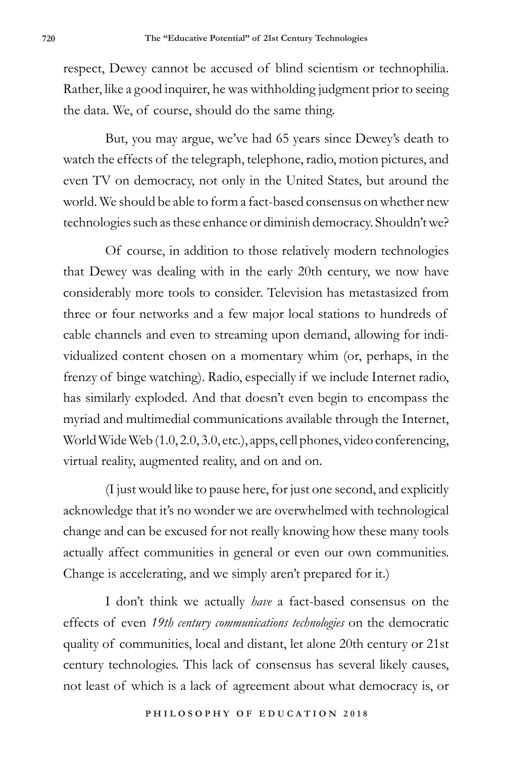respect, Dewey cannot be accused of blind scientism or technophilia. Rather, like a good inquirer, he was withholding judgment prior to seeing the data. We, of course, should do the same thing.

But, you may argue, we've had 65 years since Dewey's death to watch the effects of the telegraph, telephone, radio, motion pictures, and even TV on democracy, not only in the United States, but around the world. We should be able to form a fact-based consensus on whether new technologies such as these enhance or diminish democracy. Shouldn't we?

Of course, in addition to those relatively modern technologies that Dewey was dealing with in the early 20th century, we now have considerably more tools to consider. Television has metastasized from three or four networks and a few major local stations to hundreds of cable channels and even to streaming upon demand, allowing for individualized content chosen on a momentary whim (or, perhaps, in the frenzy of binge watching). Radio, especially if we include Internet radio, has similarly exploded. And that doesn't even begin to encompass the myriad and multimedial communications available through the Internet, World Wide Web (1.0, 2.0, 3.0, etc.), apps, cell phones, video conferencing, virtual reality, augmented reality, and on and on.

(I just would like to pause here, for just one second, and explicitly acknowledge that it's no wonder we are overwhelmed with technological change and can be excused for not really knowing how these many tools actually affect communities in general or even our own communities. Change is accelerating, and we simply aren't prepared for it.)

I don't think we actually *have* a fact-based consensus on the effects of even *19th century communications technologies* on the democratic quality of communities, local and distant, let alone 20th century or 21st century technologies. This lack of consensus has several likely causes, not least of which is a lack of agreement about what democracy is, or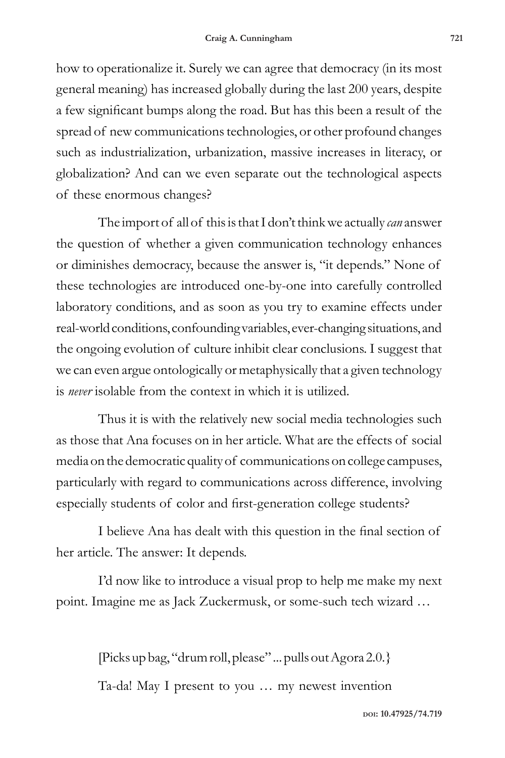how to operationalize it. Surely we can agree that democracy (in its most general meaning) has increased globally during the last 200 years, despite a few significant bumps along the road. But has this been a result of the spread of new communications technologies, or other profound changes such as industrialization, urbanization, massive increases in literacy, or globalization? And can we even separate out the technological aspects of these enormous changes?

The import of all of this is that I don't think we actually *can* answer the question of whether a given communication technology enhances or diminishes democracy, because the answer is, "it depends." None of these technologies are introduced one-by-one into carefully controlled laboratory conditions, and as soon as you try to examine effects under real-world conditions, confounding variables, ever-changing situations, and the ongoing evolution of culture inhibit clear conclusions. I suggest that we can even argue ontologically or metaphysically that a given technology is *never* isolable from the context in which it is utilized.

Thus it is with the relatively new social media technologies such as those that Ana focuses on in her article. What are the effects of social media on the democratic quality of communications on college campuses, particularly with regard to communications across difference, involving especially students of color and first-generation college students?

I believe Ana has dealt with this question in the final section of her article. The answer: It depends.

I'd now like to introduce a visual prop to help me make my next point. Imagine me as Jack Zuckermusk, or some-such tech wizard …

> [Picks up bag, "drum roll, please" ... pulls out Agora 2.0.} Ta-da! May I present to you … my newest invention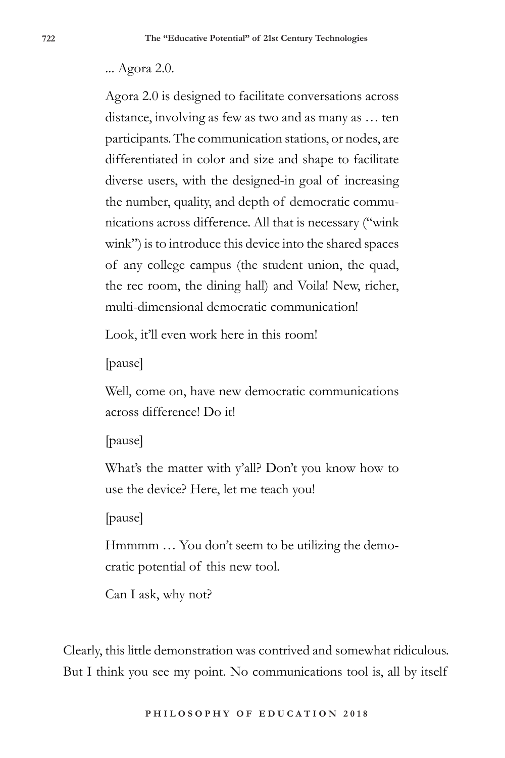## ... Agora 2.0.

Agora 2.0 is designed to facilitate conversations across distance, involving as few as two and as many as … ten participants. The communication stations, or nodes, are differentiated in color and size and shape to facilitate diverse users, with the designed-in goal of increasing the number, quality, and depth of democratic communications across difference. All that is necessary ("wink wink") is to introduce this device into the shared spaces of any college campus (the student union, the quad, the rec room, the dining hall) and Voila! New, richer, multi-dimensional democratic communication!

Look, it'll even work here in this room!

[pause]

Well, come on, have new democratic communications across difference! Do it!

[pause]

What's the matter with y'all? Don't you know how to use the device? Here, let me teach you!

[pause]

Hmmmm … You don't seem to be utilizing the democratic potential of this new tool.

Can I ask, why not?

Clearly, this little demonstration was contrived and somewhat ridiculous. But I think you see my point. No communications tool is, all by itself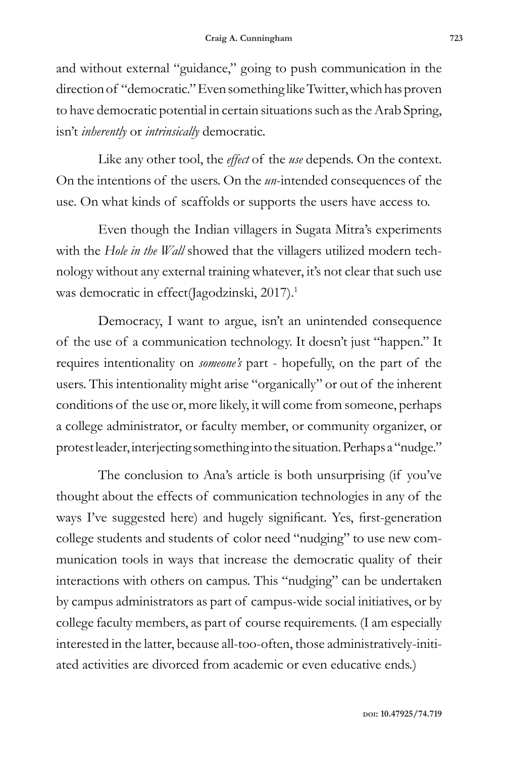and without external "guidance," going to push communication in the direction of "democratic." Even something like Twitter, which has proven to have democratic potential in certain situations such as the Arab Spring, isn't *inherently* or *intrinsically* democratic.

Like any other tool, the *effect* of the *use* depends. On the context. On the intentions of the users. On the *un*-intended consequences of the use. On what kinds of scaffolds or supports the users have access to.

Even though the Indian villagers in Sugata Mitra's experiments with the *Hole in the Wall* showed that the villagers utilized modern technology without any external training whatever, it's not clear that such use was democratic in effect(Jagodzinski, 2017).<sup>1</sup>

Democracy, I want to argue, isn't an unintended consequence of the use of a communication technology. It doesn't just "happen." It requires intentionality on *someone's* part - hopefully, on the part of the users. This intentionality might arise "organically" or out of the inherent conditions of the use or, more likely, it will come from someone, perhaps a college administrator, or faculty member, or community organizer, or protest leader, interjecting something into the situation. Perhaps a "nudge."

The conclusion to Ana's article is both unsurprising (if you've thought about the effects of communication technologies in any of the ways I've suggested here) and hugely significant. Yes, first-generation college students and students of color need "nudging" to use new communication tools in ways that increase the democratic quality of their interactions with others on campus. This "nudging" can be undertaken by campus administrators as part of campus-wide social initiatives, or by college faculty members, as part of course requirements. (I am especially interested in the latter, because all-too-often, those administratively-initiated activities are divorced from academic or even educative ends.)